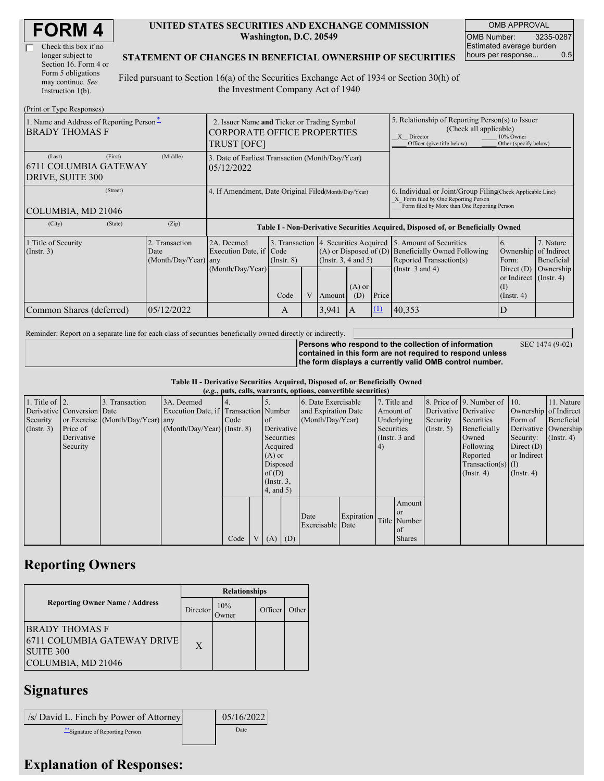| Check this box if no  |
|-----------------------|
| longer subject to     |
| Section 16. Form 4 or |
| Form 5 obligations    |
| may continue. See     |
| Instruction $1(b)$ .  |

#### **UNITED STATES SECURITIES AND EXCHANGE COMMISSION Washington, D.C. 20549**

OMB APPROVAL OMB Number: 3235-0287 Estimated average burden hours per response... 0.5

SEC 1474 (9-02)

#### **STATEMENT OF CHANGES IN BENEFICIAL OWNERSHIP OF SECURITIES**

Filed pursuant to Section 16(a) of the Securities Exchange Act of 1934 or Section 30(h) of the Investment Company Act of 1940

| (Print or Type Responses)                                         |                                                                                                         |                                                                                  |                                   |  |                                                                              |                                                                                                                                                              |                                                                                                                                                    |                                                                                    |                                                              |                         |
|-------------------------------------------------------------------|---------------------------------------------------------------------------------------------------------|----------------------------------------------------------------------------------|-----------------------------------|--|------------------------------------------------------------------------------|--------------------------------------------------------------------------------------------------------------------------------------------------------------|----------------------------------------------------------------------------------------------------------------------------------------------------|------------------------------------------------------------------------------------|--------------------------------------------------------------|-------------------------|
| 1. Name and Address of Reporting Person-<br><b>BRADY THOMAS F</b> | 2. Issuer Name and Ticker or Trading Symbol<br><b>CORPORATE OFFICE PROPERTIES</b><br><b>TRUST [OFC]</b> |                                                                                  |                                   |  |                                                                              | 5. Relationship of Reporting Person(s) to Issuer<br>(Check all applicable)<br>10% Owner<br>X Director<br>Officer (give title below)<br>Other (specify below) |                                                                                                                                                    |                                                                                    |                                                              |                         |
| (First)<br>(Last)<br>6711 COLUMBIA GATEWAY<br>DRIVE, SUITE 300    | 3. Date of Earliest Transaction (Month/Day/Year)<br>05/12/2022                                          |                                                                                  |                                   |  |                                                                              |                                                                                                                                                              |                                                                                                                                                    |                                                                                    |                                                              |                         |
| (Street)<br>COLUMBIA, MD 21046                                    | 4. If Amendment, Date Original Filed(Month/Day/Year)                                                    |                                                                                  |                                   |  |                                                                              |                                                                                                                                                              | 6. Individual or Joint/Group Filing(Check Applicable Line)<br>X Form filed by One Reporting Person<br>Form filed by More than One Reporting Person |                                                                                    |                                                              |                         |
| (City)<br>(State)                                                 | (Zip)                                                                                                   | Table I - Non-Derivative Securities Acquired, Disposed of, or Beneficially Owned |                                   |  |                                                                              |                                                                                                                                                              |                                                                                                                                                    |                                                                                    |                                                              |                         |
| 1. Title of Security<br>$($ Instr. 3 $)$                          | 2. Transaction<br>Date<br>(Month/Day/Year) any                                                          | 2A. Deemed<br>Execution Date, if Code                                            | 3. Transaction<br>$($ Instr. $8)$ |  | 4. Securities Acquired<br>$(A)$ or Disposed of $(D)$<br>(Insert. 3, 4 and 5) |                                                                                                                                                              |                                                                                                                                                    | 5. Amount of Securities<br>Beneficially Owned Following<br>Reported Transaction(s) | 16.<br>Ownership of Indirect<br>Form:                        | 7. Nature<br>Beneficial |
|                                                                   |                                                                                                         | (Month/Day/Year)                                                                 | Code                              |  | Amount                                                                       | $(A)$ or<br>(D)                                                                                                                                              | Price                                                                                                                                              | (Instr. $3$ and $4$ )                                                              | or Indirect (Instr. 4)<br>$(\mathrm{I})$<br>$($ Instr. 4 $)$ | Direct (D) Ownership    |
| Common Shares (deferred)                                          | 05/12/2022                                                                                              |                                                                                  | A                                 |  | 3,941                                                                        | $\overline{A}$                                                                                                                                               | $\Omega$                                                                                                                                           | 40,353                                                                             | ID                                                           |                         |

Reminder: Report on a separate line for each class of securities beneficially owned directly or indirectly.

**Persons who respond to the collection of information contained in this form are not required to respond unless the form displays a currently valid OMB control number.**

**Table II - Derivative Securities Acquired, Disposed of, or Beneficially Owned**

|                        |                            |                                  |                                       |      |                 | (e.g., puts, calls, warrants, options, convertible securities) |            |            |               |             |                              |                       |                      |
|------------------------|----------------------------|----------------------------------|---------------------------------------|------|-----------------|----------------------------------------------------------------|------------|------------|---------------|-------------|------------------------------|-----------------------|----------------------|
| 1. Title of $\vert$ 2. |                            | 3. Transaction                   | 3A. Deemed                            |      |                 | 6. Date Exercisable                                            |            |            | 7. Title and  |             | 8. Price of 9. Number of 10. |                       | 11. Nature           |
|                        | Derivative Conversion Date |                                  | Execution Date, if Transaction Number |      |                 | and Expiration Date                                            |            |            | Amount of     |             | Derivative Derivative        | Ownership of Indirect |                      |
| Security               |                            | or Exercise (Month/Day/Year) any |                                       | Code | $\circ$ f       | (Month/Day/Year)                                               |            |            | Underlying    | Security    | Securities                   | Form of               | Beneficial           |
| $($ Instr. 3 $)$       | Price of                   |                                  | $(Month/Day/Year)$ (Instr. 8)         |      | Derivative      |                                                                |            | Securities |               | (Insert. 5) | Beneficially                 |                       | Derivative Ownership |
|                        | Derivative                 |                                  |                                       |      | Securities      |                                                                |            |            | (Instr. 3 and |             | Owned                        | Security:             | $($ Instr. 4 $)$     |
|                        | Security                   |                                  |                                       |      | Acquired        |                                                                |            | $\vert 4)$ |               |             | Following                    | Direct $(D)$          |                      |
|                        |                            |                                  |                                       |      | $(A)$ or        |                                                                |            |            |               |             | Reported                     | or Indirect           |                      |
|                        |                            |                                  |                                       |      | Disposed        |                                                                |            |            |               |             | $Transaction(s)$ (I)         |                       |                      |
|                        |                            |                                  |                                       |      | of $(D)$        |                                                                |            |            |               |             | $($ Instr. 4 $)$             | $($ Instr. 4 $)$      |                      |
|                        |                            |                                  |                                       |      | $($ Instr. $3,$ |                                                                |            |            |               |             |                              |                       |                      |
|                        |                            |                                  |                                       |      | 4, and 5)       |                                                                |            |            |               |             |                              |                       |                      |
|                        |                            |                                  |                                       |      |                 |                                                                |            |            | Amount        |             |                              |                       |                      |
|                        |                            |                                  |                                       |      |                 |                                                                |            |            | <b>or</b>     |             |                              |                       |                      |
|                        |                            |                                  |                                       |      |                 | Date                                                           | Expiration |            | Title Number  |             |                              |                       |                      |
|                        |                            |                                  |                                       |      |                 | Exercisable Date                                               |            |            | of            |             |                              |                       |                      |
|                        |                            |                                  |                                       | Code | $(A)$ $(D)$     |                                                                |            |            | <b>Shares</b> |             |                              |                       |                      |

## **Reporting Owners**

|                                                                                                | <b>Relationships</b> |              |         |       |  |  |  |
|------------------------------------------------------------------------------------------------|----------------------|--------------|---------|-------|--|--|--|
| <b>Reporting Owner Name / Address</b>                                                          | Director             | 10%<br>Owner | Officer | Other |  |  |  |
| <b>BRADY THOMAS F</b><br>6711 COLUMBIA GATEWAY DRIVE<br><b>SUITE 300</b><br>COLUMBIA, MD 21046 | $\mathbf{X}$         |              |         |       |  |  |  |

# **Signatures**

 $|$ /s/ David L. Finch by Power of Attorney  $|$  05/16/2022 \*\*Signature of Reporting Person Date

## **Explanation of Responses:**